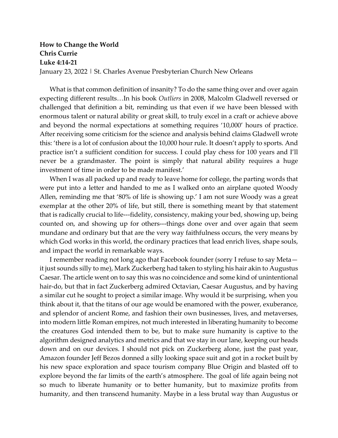## **How to Change the World Chris Currie Luke 4:14-21** January 23, 2022 | St. Charles Avenue Presbyterian Church New Orleans

What is that common definition of insanity? To do the same thing over and over again expecting different results…In his book *Outliers* in 2008, Malcolm Gladwell reversed or challenged that definition a bit, reminding us that even if we have been blessed with enormous talent or natural ability or great skill, to truly excel in a craft or achieve above and beyond the normal expectations at something requires '10,000' hours of practice. After receiving some criticism for the science and analysis behind claims Gladwell wrote this: 'there is a lot of confusion about the 10,000 hour rule. It doesn't apply to sports. And practice isn't a sufficient condition for success. I could play chess for 100 years and I'll never be a grandmaster. The point is simply that natural ability requires a huge investment of time in order to be made manifest.'

When I was all packed up and ready to leave home for college, the parting words that were put into a letter and handed to me as I walked onto an airplane quoted Woody Allen, reminding me that '80% of life is showing up.' I am not sure Woody was a great exemplar at the other 20% of life, but still, there is something meant by that statement that is radically crucial to life---fidelity, consistency, making your bed, showing up, being counted on, and showing up for others---things done over and over again that seem mundane and ordinary but that are the very way faithfulness occurs, the very means by which God works in this world, the ordinary practices that lead enrich lives, shape souls, and impact the world in remarkable ways.

I remember reading not long ago that Facebook founder (sorry I refuse to say Meta it just sounds silly to me), Mark Zuckerberg had taken to styling his hair akin to Augustus Caesar. The article went on to say this was no coincidence and some kind of unintentional hair-do, but that in fact Zuckerberg admired Octavian, Caesar Augustus, and by having a similar cut he sought to project a similar image. Why would it be surprising, when you think about it, that the titans of our age would be enamored with the power, exuberance, and splendor of ancient Rome, and fashion their own businesses, lives, and metaverses, into modern little Roman empires, not much interested in liberating humanity to become the creatures God intended them to be, but to make sure humanity is captive to the algorithm designed analytics and metrics and that we stay in our lane, keeping our heads down and on our devices. I should not pick on Zuckerberg alone, just the past year, Amazon founder Jeff Bezos donned a silly looking space suit and got in a rocket built by his new space exploration and space tourism company Blue Origin and blasted off to explore beyond the far limits of the earth's atmosphere. The goal of life again being not so much to liberate humanity or to better humanity, but to maximize profits from humanity, and then transcend humanity. Maybe in a less brutal way than Augustus or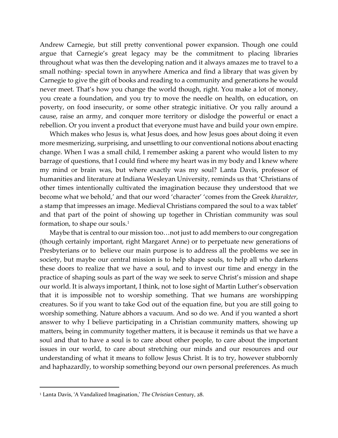Andrew Carnegie, but still pretty conventional power expansion. Though one could argue that Carnegie's great legacy may be the commitment to placing libraries throughout what was then the developing nation and it always amazes me to travel to a small nothing- special town in anywhere America and find a library that was given by Carnegie to give the gift of books and reading to a community and generations he would never meet. That's how you change the world though, right. You make a lot of money, you create a foundation, and you try to move the needle on health, on education, on poverty, on food insecurity, or some other strategic initiative. Or you rally around a cause, raise an army, and conquer more territory or dislodge the powerful or enact a rebellion. Or you invent a product that everyone must have and build your own empire.

Which makes who Jesus is, what Jesus does, and how Jesus goes about doing it even more mesmerizing, surprising, and unsettling to our conventional notions about enacting change. When I was a small child, I remember asking a parent who would listen to my barrage of questions, that I could find where my heart was in my body and I knew where my mind or brain was, but where exactly was my soul? Lanta Davis, professor of humanities and literature at Indiana Wesleyan University, reminds us that 'Christians of other times intentionally cultivated the imagination because they understood that we become what we behold,' and that our word 'character' 'comes from the Greek *kharakter*, a stamp that impresses an image. Medieval Christians compared the soul to a wax tablet' and that part of the point of showing up together in Christian community was soul formation, to shape our souls.[1](#page-1-0)

Maybe that is central to our mission too…not just to add members to our congregation (though certainly important, right Margaret Anne) or to perpetuate new generations of Presbyterians or to believe our main purpose is to address all the problems we see in society, but maybe our central mission is to help shape souls, to help all who darkens these doors to realize that we have a soul, and to invest our time and energy in the practice of shaping souls as part of the way we seek to serve Christ's mission and shape our world. It is always important, I think, not to lose sight of Martin Luther's observation that it is impossible not to worship something. That we humans are worshipping creatures. So if you want to take God out of the equation fine, but you are still going to worship something. Nature abhors a vacuum. And so do we. And if you wanted a short answer to why I believe participating in a Christian community matters, showing up matters, being in community together matters, it is because it reminds us that we have a soul and that to have a soul is to care about other people, to care about the important issues in our world, to care about stretching our minds and our resources and our understanding of what it means to follow Jesus Christ. It is to try, however stubbornly and haphazardly, to worship something beyond our own personal preferences. As much

<span id="page-1-0"></span><sup>1</sup> Lanta Davis, 'A Vandalized Imagination,' *The Christian* Century, 28.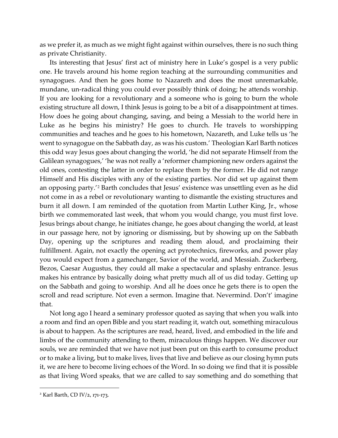as we prefer it, as much as we might fight against within ourselves, there is no such thing as private Christianity.

Its interesting that Jesus' first act of ministry here in Luke's gospel is a very public one. He travels around his home region teaching at the surrounding communities and synagogues. And then he goes home to Nazareth and does the most unremarkable, mundane, un-radical thing you could ever possibly think of doing; he attends worship. If you are looking for a revolutionary and a someone who is going to burn the whole existing structure all down, I think Jesus is going to be a bit of a disappointment at times. How does he going about changing, saving, and being a Messiah to the world here in Luke as he begins his ministry? He goes to church. He travels to worshipping communities and teaches and he goes to his hometown, Nazareth, and Luke tells us 'he went to synagogue on the Sabbath day, as was his custom.' Theologian Karl Barth notices this odd way Jesus goes about changing the world, 'he did not separate Himself from the Galilean synagogues,' 'he was not really a 'reformer championing new orders against the old ones, contesting the latter in order to replace them by the former. He did not range Himself and His disciples with any of the existing parties. Nor did set up against them an opposing party.'[2](#page-2-0) Barth concludes that Jesus' existence was unsettling even as he did not come in as a rebel or revolutionary wanting to dismantle the existing structures and burn it all down. I am reminded of the quotation from Martin Luther King, Jr., whose birth we commemorated last week, that whom you would change, you must first love. Jesus brings about change, he initiates change, he goes about changing the world, at least in our passage here, not by ignoring or dismissing, but by showing up on the Sabbath Day, opening up the scriptures and reading them aloud, and proclaiming their fulfillment. Again, not exactly the opening act pyrotechnics, fireworks, and power play you would expect from a gamechanger, Savior of the world, and Messiah. Zuckerberg, Bezos, Caesar Augustus, they could all make a spectacular and splashy entrance. Jesus makes his entrance by basically doing what pretty much all of us did today. Getting up on the Sabbath and going to worship. And all he does once he gets there is to open the scroll and read scripture. Not even a sermon. Imagine that. Nevermind. Don't' imagine that.

Not long ago I heard a seminary professor quoted as saying that when you walk into a room and find an open Bible and you start reading it, watch out, something miraculous is about to happen. As the scriptures are read, heard, lived, and embodied in the life and limbs of the community attending to them, miraculous things happen. We discover our souls, we are reminded that we have not just been put on this earth to consume product or to make a living, but to make lives, lives that live and believe as our closing hymn puts it, we are here to become living echoes of the Word. In so doing we find that it is possible as that living Word speaks, that we are called to say something and do something that

<span id="page-2-0"></span><sup>2</sup> Karl Barth, CD IV/2, 171-173.